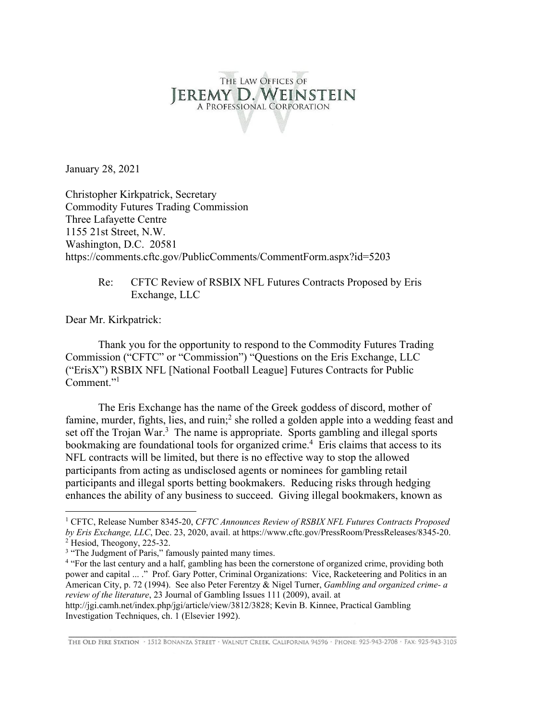# THE LAW OFFICES OF EREMY D. WEINSTEIN A PROFESSIONAL CORPORATION

January 28, 2021

Christopher Kirkpatrick, Secretary Commodity Futures Trading Commission Three Lafayette Centre 1155 21st Street, N.W. Washington, D.C. 20581 https://comments.cftc.gov/PublicComments/CommentForm.aspx?id=5203

Re: CFTC Review of RSBIX NFL Futures Contracts Proposed by Eris Exchange, LLC

Dear Mr. Kirkpatrick:

 Thank you for the opportunity to respond to the Commodity Futures Trading Commission ("CFTC" or "Commission") "Questions on the Eris Exchange, LLC ("ErisX") RSBIX NFL [National Football League] Futures Contracts for Public Comment."<sup>1</sup>

 The Eris Exchange has the name of the Greek goddess of discord, mother of famine, murder, fights, lies, and ruin;<sup>2</sup> she rolled a golden apple into a wedding feast and set off the Trojan War. $3$  The name is appropriate. Sports gambling and illegal sports bookmaking are foundational tools for organized crime.<sup>4</sup> Eris claims that access to its NFL contracts will be limited, but there is no effective way to stop the allowed participants from acting as undisclosed agents or nominees for gambling retail participants and illegal sports betting bookmakers. Reducing risks through hedging enhances the ability of any business to succeed. Giving illegal bookmakers, known as

THE OLD FIRE STATION · 1512 BONANZA STREET · WALNUT CREEK, CALIFORNIA 94596 · PHONE: 925-943-2708 · FAX: 925-943-3105

<sup>1</sup> CFTC, Release Number 8345-20, *CFTC Announces Review of RSBIX NFL Futures Contracts Proposed by Eris Exchange, LLC*, Dec. 23, 2020, avail. at https://www.cftc.gov/PressRoom/PressReleases/8345-20. 2 <sup>2</sup> Hesiod, Theogony, 225-32.

<sup>&</sup>lt;sup>3</sup> "The Judgment of Paris," famously painted many times.

<sup>&</sup>lt;sup>4</sup> "For the last century and a half, gambling has been the cornerstone of organized crime, providing both power and capital ... ." Prof. Gary Potter, Criminal Organizations: Vice, Racketeering and Politics in an American City, p. 72 (1994). See also Peter Ferentzy & Nigel Turner, *Gambling and organized crime- a review of the literature*, 23 Journal of Gambling Issues 111 (2009), avail. at

http://jgi.camh.net/index.php/jgi/article/view/3812/3828; Kevin B. Kinnee, Practical Gambling Investigation Techniques, ch. 1 (Elsevier 1992).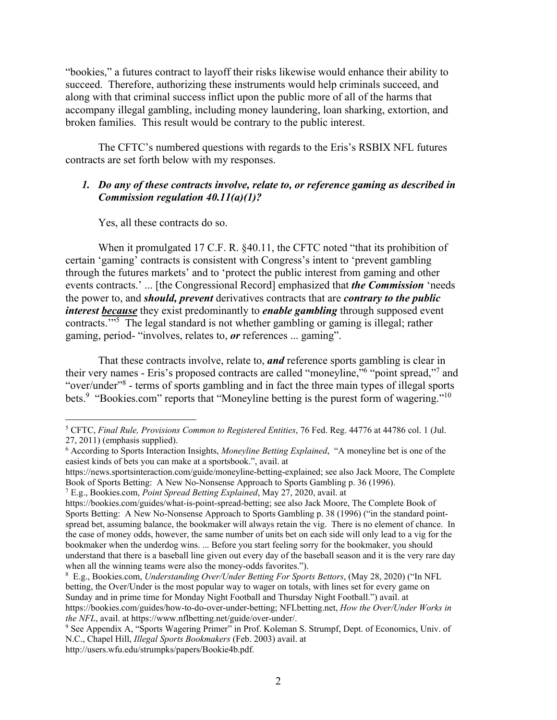"bookies," a futures contract to layoff their risks likewise would enhance their ability to succeed. Therefore, authorizing these instruments would help criminals succeed, and along with that criminal success inflict upon the public more of all of the harms that accompany illegal gambling, including money laundering, loan sharking, extortion, and broken families. This result would be contrary to the public interest.

The CFTC's numbered questions with regards to the Eris's RSBIX NFL futures contracts are set forth below with my responses.

#### *1. Do any of these contracts involve, relate to, or reference gaming as described in Commission regulation 40.11(a)(1)?*

Yes, all these contracts do so.

When it promulgated 17 C.F. R. §40.11, the CFTC noted "that its prohibition of certain 'gaming' contracts is consistent with Congress's intent to 'prevent gambling through the futures markets' and to 'protect the public interest from gaming and other events contracts.' ... [the Congressional Record] emphasized that *the Commission* 'needs the power to, and *should, prevent* derivatives contracts that are *contrary to the public interest because* they exist predominantly to *enable gambling* through supposed event contracts."<sup>5</sup> The legal standard is not whether gambling or gaming is illegal; rather gaming, period- "involves, relates to, *or* references ... gaming".

That these contracts involve, relate to, *and* reference sports gambling is clear in their very names - Eris's proposed contracts are called "moneyline," of "point spread," and "over/under"<sup>8</sup> - terms of sports gambling and in fact the three main types of illegal sports bets.<sup>9</sup> "Bookies.com" reports that "Moneyline betting is the purest form of wagering."<sup>10</sup>

<sup>5</sup> CFTC, *Final Rule, Provisions Common to Registered Entities*, 76 Fed. Reg. 44776 at 44786 col. 1 (Jul. 27, 2011) (emphasis supplied).

<sup>6</sup> According to Sports Interaction Insights, *Moneyline Betting Explained*, "A moneyline bet is one of the easiest kinds of bets you can make at a sportsbook.", avail. at

https://news.sportsinteraction.com/guide/moneyline-betting-explained; see also Jack Moore, The Complete Book of Sports Betting: A New No-Nonsense Approach to Sports Gambling p. 36 (1996).

<sup>7</sup> E.g., Bookies.com, *Point Spread Betting Explained*, May 27, 2020, avail. at

https://bookies.com/guides/what-is-point-spread-betting; see also Jack Moore, The Complete Book of Sports Betting: A New No-Nonsense Approach to Sports Gambling p. 38 (1996) ("in the standard pointspread bet, assuming balance, the bookmaker will always retain the vig. There is no element of chance. In the case of money odds, however, the same number of units bet on each side will only lead to a vig for the bookmaker when the underdog wins. ... Before you start feeling sorry for the bookmaker, you should understand that there is a baseball line given out every day of the baseball season and it is the very rare day when all the winning teams were also the money-odds favorites.").

<sup>8</sup> E.g., Bookies.com, *Understanding Over/Under Betting For Sports Bettors*, (May 28, 2020) ("In NFL betting, the Over/Under is the most popular way to wager on totals, with lines set for every game on Sunday and in prime time for Monday Night Football and Thursday Night Football.") avail. at https://bookies.com/guides/how-to-do-over-under-betting; NFLbetting.net, *How the Over/Under Works in the NFL*, avail. at https://www.nflbetting.net/guide/over-under/.

<sup>&</sup>lt;sup>9</sup> See Appendix A, "Sports Wagering Primer" in Prof. Koleman S. Strumpf, Dept. of Economics, Univ. of N.C., Chapel Hill, *Illegal Sports Bookmakers* (Feb. 2003) avail. at

http://users.wfu.edu/strumpks/papers/Bookie4b.pdf.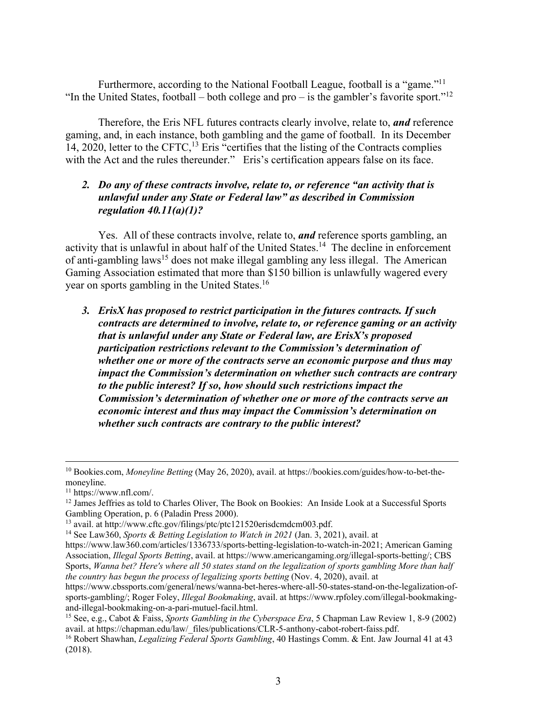Furthermore, according to the National Football League, football is a "game."11 "In the United States, football – both college and pro – is the gambler's favorite sport."<sup>12</sup>

Therefore, the Eris NFL futures contracts clearly involve, relate to, *and* reference gaming, and, in each instance, both gambling and the game of football. In its December 14, 2020, letter to the CFTC,<sup>13</sup> Eris "certifies that the listing of the Contracts complies with the Act and the rules thereunder." Eris's certification appears false on its face.

## *2. Do any of these contracts involve, relate to, or reference "an activity that is unlawful under any State or Federal law" as described in Commission regulation 40.11(a)(1)?*

Yes. All of these contracts involve, relate to, *and* reference sports gambling, an activity that is unlawful in about half of the United States.<sup>14</sup> The decline in enforcement of anti-gambling laws<sup>15</sup> does not make illegal gambling any less illegal. The American Gaming Association estimated that more than \$150 billion is unlawfully wagered every year on sports gambling in the United States.<sup>16</sup>

*3. ErisX has proposed to restrict participation in the futures contracts. If such contracts are determined to involve, relate to, or reference gaming or an activity that is unlawful under any State or Federal law, are ErisX's proposed participation restrictions relevant to the Commission's determination of whether one or more of the contracts serve an economic purpose and thus may impact the Commission's determination on whether such contracts are contrary to the public interest? If so, how should such restrictions impact the Commission's determination of whether one or more of the contracts serve an economic interest and thus may impact the Commission's determination on whether such contracts are contrary to the public interest?* 

<sup>10</sup> Bookies.com, *Moneyline Betting* (May 26, 2020), avail. at https://bookies.com/guides/how-to-bet-themoneyline.

 $11 \text{ https://www.nfl.com/}.$ 

 $12$  James Jeffries as told to Charles Oliver, The Book on Bookies: An Inside Look at a Successful Sports Gambling Operation, p. 6 (Paladin Press 2000).<br><sup>13</sup> avail. at http://www.cftc.gov/filings/ptc/ptc121520erisdcmdcm003.pdf.

<sup>&</sup>lt;sup>14</sup> See Law360, *Sports & Betting Legislation to Watch in 2021* (Jan. 3, 2021), avail. at

https://www.law360.com/articles/1336733/sports-betting-legislation-to-watch-in-2021; American Gaming Association, *Illegal Sports Betting*, avail. at https://www.americangaming.org/illegal-sports-betting/; CBS Sports, *Wanna bet? Here's where all 50 states stand on the legalization of sports gambling More than half the country has begun the process of legalizing sports betting* (Nov. 4, 2020), avail. at

https://www.cbssports.com/general/news/wanna-bet-heres-where-all-50-states-stand-on-the-legalization-ofsports-gambling/; Roger Foley, *Illegal Bookmaking*, avail. at https://www.rpfoley.com/illegal-bookmakingand-illegal-bookmaking-on-a-pari-mutuel-facil.html.

<sup>&</sup>lt;sup>15</sup> See, e.g., Cabot & Faiss, *Sports Gambling in the Cyberspace Era*, 5 Chapman Law Review 1, 8-9 (2002) avail. at https://chapman.edu/law/ files/publications/CLR-5-anthony-cabot-robert-faiss.pdf.

<sup>&</sup>lt;sup>16</sup> Robert Shawhan, *Legalizing Federal Sports Gambling*, 40 Hastings Comm. & Ent. Jaw Journal 41 at 43 (2018).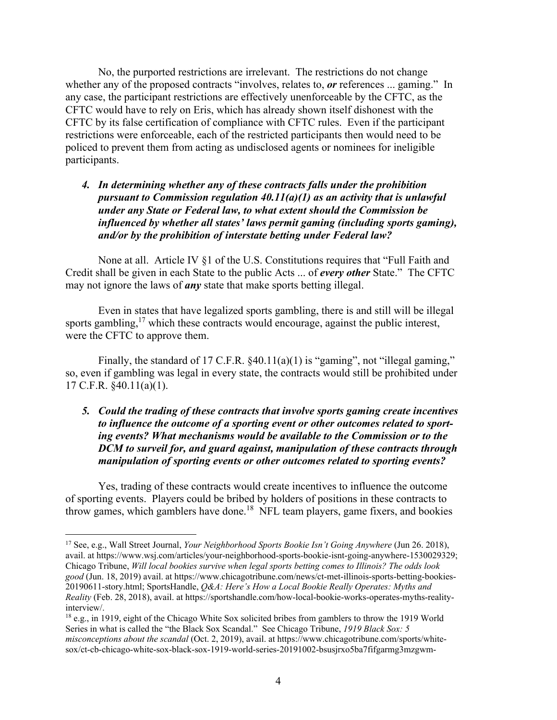No, the purported restrictions are irrelevant. The restrictions do not change whether any of the proposed contracts "involves, relates to, *or* references ... gaming." In any case, the participant restrictions are effectively unenforceable by the CFTC, as the CFTC would have to rely on Eris, which has already shown itself dishonest with the CFTC by its false certification of compliance with CFTC rules. Even if the participant restrictions were enforceable, each of the restricted participants then would need to be policed to prevent them from acting as undisclosed agents or nominees for ineligible participants.

*4. In determining whether any of these contracts falls under the prohibition pursuant to Commission regulation 40.11(a)(1) as an activity that is unlawful under any State or Federal law, to what extent should the Commission be influenced by whether all states' laws permit gaming (including sports gaming), and/or by the prohibition of interstate betting under Federal law?* 

None at all. Article IV §1 of the U.S. Constitutions requires that "Full Faith and Credit shall be given in each State to the public Acts ... of *every other* State." The CFTC may not ignore the laws of *any* state that make sports betting illegal.

Even in states that have legalized sports gambling, there is and still will be illegal sports gambling, $17$  which these contracts would encourage, against the public interest, were the CFTC to approve them.

Finally, the standard of 17 C.F.R. §40.11(a)(1) is "gaming", not "illegal gaming," so, even if gambling was legal in every state, the contracts would still be prohibited under 17 C.F.R. §40.11(a)(1).

## *5. Could the trading of these contracts that involve sports gaming create incentives to influence the outcome of a sporting event or other outcomes related to sporting events? What mechanisms would be available to the Commission or to the DCM to surveil for, and guard against, manipulation of these contracts through manipulation of sporting events or other outcomes related to sporting events?*

Yes, trading of these contracts would create incentives to influence the outcome of sporting events. Players could be bribed by holders of positions in these contracts to throw games, which gamblers have done.<sup>18</sup> NFL team players, game fixers, and bookies

<sup>17</sup> See, e.g., Wall Street Journal, *Your Neighborhood Sports Bookie Isn't Going Anywhere* (Jun 26. 2018), avail. at https://www.wsj.com/articles/your-neighborhood-sports-bookie-isnt-going-anywhere-1530029329; Chicago Tribune, *Will local bookies survive when legal sports betting comes to Illinois? The odds look good* (Jun. 18, 2019) avail. at https://www.chicagotribune.com/news/ct-met-illinois-sports-betting-bookies-20190611-story.html; SportsHandle, *Q&A: Here's How a Local Bookie Really Operates: Myths and Reality* (Feb. 28, 2018), avail. at https://sportshandle.com/how-local-bookie-works-operates-myths-realityinterview/.

<sup>18</sup> e.g., in 1919, eight of the Chicago White Sox solicited bribes from gamblers to throw the 1919 World Series in what is called the "the Black Sox Scandal." See Chicago Tribune, *1919 Black Sox: 5 misconceptions about the scandal* (Oct. 2, 2019), avail. at https://www.chicagotribune.com/sports/whitesox/ct-cb-chicago-white-sox-black-sox-1919-world-series-20191002-bsusjrxo5ba7fifgarmg3mzgwm-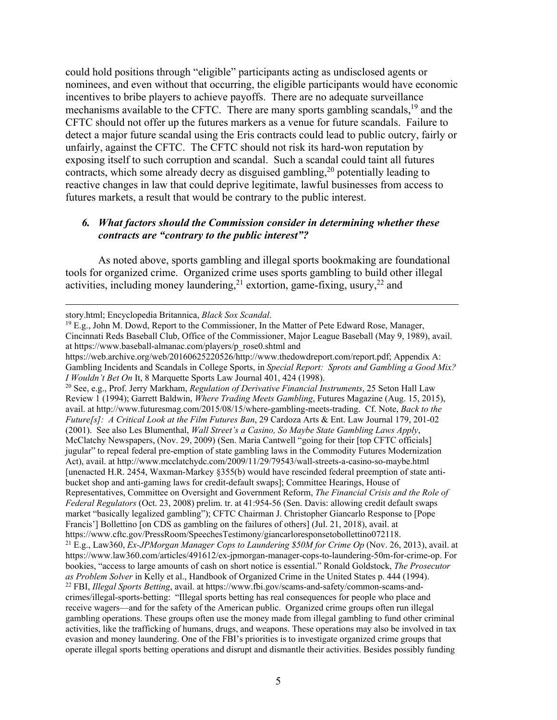could hold positions through "eligible" participants acting as undisclosed agents or nominees, and even without that occurring, the eligible participants would have economic incentives to bribe players to achieve payoffs. There are no adequate surveillance mechanisms available to the CFTC. There are many sports gambling scandals,  $^{19}$  and the CFTC should not offer up the futures markers as a venue for future scandals. Failure to detect a major future scandal using the Eris contracts could lead to public outcry, fairly or unfairly, against the CFTC. The CFTC should not risk its hard-won reputation by exposing itself to such corruption and scandal. Such a scandal could taint all futures contracts, which some already decry as disguised gambling,<sup>20</sup> potentially leading to reactive changes in law that could deprive legitimate, lawful businesses from access to futures markets, a result that would be contrary to the public interest.

## *6. What factors should the Commission consider in determining whether these contracts are "contrary to the public interest"?*

As noted above, sports gambling and illegal sports bookmaking are foundational tools for organized crime. Organized crime uses sports gambling to build other illegal activities, including money laundering,  $^{21}$  extortion, game-fixing, usury,  $^{22}$  and

Review 1 (1994); Garrett Baldwin, *Where Trading Meets Gambling*, Futures Magazine (Aug. 15, 2015), avail. at http://www.futuresmag.com/2015/08/15/where-gambling-meets-trading. Cf. Note, *Back to the Future[s]: A Critical Look at the Film Futures Ban*, 29 Cardoza Arts & Ent. Law Journal 179, 201-02 (2001). See also Les Blumenthal, *Wall Street's a Casino, So Maybe State Gambling Laws Apply*, McClatchy Newspapers, (Nov. 29, 2009) (Sen. Maria Cantwell "going for their [top CFTC officials] jugular" to repeal federal pre-emption of state gambling laws in the Commodity Futures Modernization Act), avail. at http://www.mcclatchydc.com/2009/11/29/79543/wall-streets-a-casino-so-maybe.html [unenacted H.R. 2454, Waxman-Markey §355(b) would have rescinded federal preemption of state antibucket shop and anti-gaming laws for credit-default swaps]; Committee Hearings, House of Representatives, Committee on Oversight and Government Reform, *The Financial Crisis and the Role of Federal Regulators* (Oct. 23, 2008) prelim. tr. at 41:954-56 (Sen. Davis: allowing credit default swaps market "basically legalized gambling"); CFTC Chairman J. Christopher Giancarlo Response to [Pope Francis'] Bollettino [on CDS as gambling on the failures of others] (Jul. 21, 2018), avail. at https://www.cftc.gov/PressRoom/SpeechesTestimony/giancarloresponsetobollettino072118. 21 E.g., Law360, *Ex-JPMorgan Manager Cops to Laundering \$50M for Crime Op* (Nov. 26, 2013), avail. at https://www.law360.com/articles/491612/ex-jpmorgan-manager-cops-to-laundering-50m-for-crime-op. For bookies, "access to large amounts of cash on short notice is essential." Ronald Goldstock, *The Prosecutor*  <sup>22</sup> FBI, *Illegal Sports Betting*, avail. at https://www.fbi.gov/scams-and-safety/common-scams-andcrimes/illegal-sports-betting: "Illegal sports betting has real consequences for people who place and receive wagers—and for the safety of the American public. Organized crime groups often run illegal gambling operations. These groups often use the money made from illegal gambling to fund other criminal activities, like the trafficking of humans, drugs, and weapons. These operations may also be involved in tax evasion and money laundering. One of the FBI's priorities is to investigate organized crime groups that operate illegal sports betting operations and disrupt and dismantle their activities. Besides possibly funding

story.html; Encyclopedia Britannica, *Black Sox Scandal*. 19 E.g., John M. Dowd, Report to the Commissioner, In the Matter of Pete Edward Rose, Manager, Cincinnati Reds Baseball Club, Office of the Commissioner, Major League Baseball (May 9, 1989), avail. at https://www.baseball-almanac.com/players/p\_rose0.shtml and

https://web.archive.org/web/20160625220526/http://www.thedowdreport.com/report.pdf; Appendix A: Gambling Incidents and Scandals in College Sports, in *Special Report: Sprots and Gambling a Good Mix? I Wouldn't Bet On It, 8 Marquette Sports Law Journal 401, 424 (1998).*<br><sup>20</sup> See, e.g., Prof. Jerry Markham, *Regulation of Derivative Financial Instruments*, 25 Seton Hall Law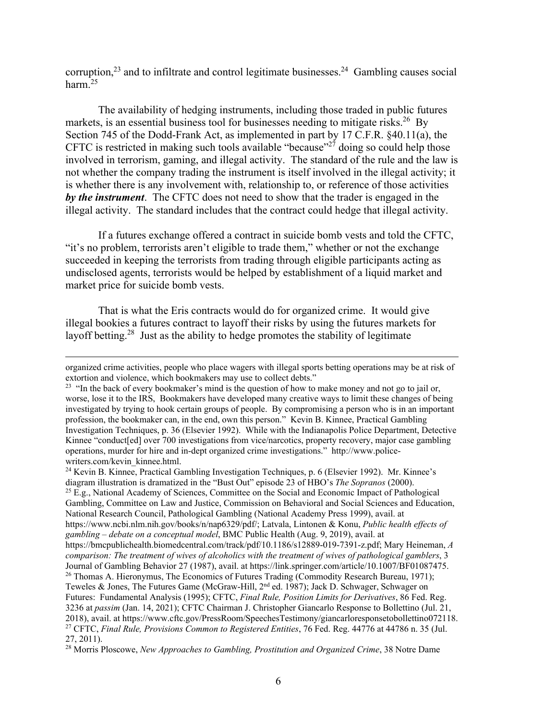corruption,<sup>23</sup> and to infiltrate and control legitimate businesses.<sup>24</sup> Gambling causes social harm.25

The availability of hedging instruments, including those traded in public futures markets, is an essential business tool for businesses needing to mitigate risks.<sup>26</sup> By Section 745 of the Dodd-Frank Act, as implemented in part by 17 C.F.R. §40.11(a), the CFTC is restricted in making such tools available "because"<sup>27</sup> doing so could help those involved in terrorism, gaming, and illegal activity. The standard of the rule and the law is not whether the company trading the instrument is itself involved in the illegal activity; it is whether there is any involvement with, relationship to, or reference of those activities *by the instrument*. The CFTC does not need to show that the trader is engaged in the illegal activity. The standard includes that the contract could hedge that illegal activity.

If a futures exchange offered a contract in suicide bomb vests and told the CFTC, "it's no problem, terrorists aren't eligible to trade them," whether or not the exchange succeeded in keeping the terrorists from trading through eligible participants acting as undisclosed agents, terrorists would be helped by establishment of a liquid market and market price for suicide bomb vests.

That is what the Eris contracts would do for organized crime. It would give illegal bookies a futures contract to layoff their risks by using the futures markets for layoff betting.28 Just as the ability to hedge promotes the stability of legitimate

24 Kevin B. Kinnee, Practical Gambling Investigation Techniques, p. 6 (Elsevier 1992). Mr. Kinnee's diagram illustration is dramatized in the "Bust Out" episode 23 of HBO's *The Sopranos* (2000). 25 E.g., National Academy of Sciences, Committee on the Social and Economic Impact of Pathological Gambling, Committee on Law and Justice, Commission on Behavioral and Social Sciences and Education, National Research Council, Pathological Gambling (National Academy Press 1999), avail. at https://www.ncbi.nlm.nih.gov/books/n/nap6329/pdf/; Latvala, Lintonen & Konu, *Public health effects of gambling – debate on a conceptual model*, BMC Public Health (Aug. 9, 2019), avail. at https://bmcpublichealth.biomedcentral.com/track/pdf/10.1186/s12889-019-7391-z.pdf; Mary Heineman, *A comparison: The treatment of wives of alcoholics with the treatment of wives of pathological gamblers*, 3 Journal of Gambling Behavior 27 (1987), avail. at https://link.springer.com/article/10.1007/BF01087475.<br><sup>26</sup> Thomas A. Hieronymus, The Economics of Futures Trading (Commodity Research Bureau, 1971); Teweles & Jones, The Futures Game (McGraw-Hill, 2nd ed. 1987); Jack D. Schwager, Schwager on Futures: Fundamental Analysis (1995); CFTC, *Final Rule, Position Limits for Derivatives*, 86 Fed. Reg. 3236 at *passim* (Jan. 14, 2021); CFTC Chairman J. Christopher Giancarlo Response to Bollettino (Jul. 21, 2018), avail. at https://www.cftc.gov/PressRoom/SpeechesTestimony/giancarloresponsetobollettino072118. 27 CFTC, *Final Rule, Provisions Common to Registered Entities*, 76 Fed. Reg. 44776 at 44786 n. 35 (Jul. 27, 2011).

organized crime activities, people who place wagers with illegal sports betting operations may be at risk of extortion and violence, which bookmakers may use to collect debts."

<sup>&</sup>lt;sup>23</sup> "In the back of every bookmaker's mind is the question of how to make money and not go to jail or, worse, lose it to the IRS, Bookmakers have developed many creative ways to limit these changes of being investigated by trying to hook certain groups of people. By compromising a person who is in an important profession, the bookmaker can, in the end, own this person." Kevin B. Kinnee, Practical Gambling Investigation Techniques, p. 36 (Elsevier 1992). While with the Indianapolis Police Department, Detective Kinnee "conduct[ed] over 700 investigations from vice/narcotics, property recovery, major case gambling operations, murder for hire and in-dept organized crime investigations." http://www.policewriters.com/kevin\_kinnee.html.

<sup>28</sup> Morris Ploscowe, *New Approaches to Gambling, Prostitution and Organized Crime*, 38 Notre Dame